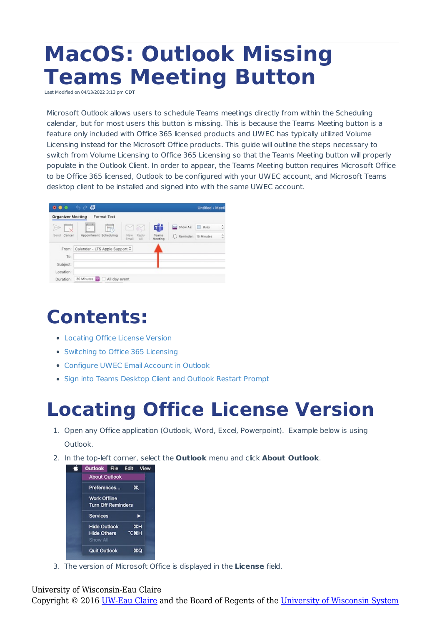# **MacOS: Outlook Missing Teams Meeting Button**

Last Modified on 04/13/2022 3:13 pm

Microsoft Outlook allows users to schedule Teams meetings directly from within the Scheduling calendar, but for most users this button is missing. This is because the Teams Meeting button is a feature only included with Office 365 licensed products and UWEC has typically utilized Volume Licensing instead for the Microsoft Office products. This guide will outline the steps necessary to switch from Volume Licensing to Office 365 Licensing so that the Teams Meeting button will properly populate in the Outlook Client. In order to appear, the Teams Meeting button requires Microsoft Office to be Office 365 licensed, Outlook to be configured with your UWEC account, and Microsoft Teams desktop client to be installed and signed into with the same UWEC account.

| $\bullet$ $\bullet$      | ි ් සී                               |                              |                  |                      | Untitled - Meeti |   |
|--------------------------|--------------------------------------|------------------------------|------------------|----------------------|------------------|---|
| <b>Organizer Meeting</b> | Format Text                          |                              |                  |                      |                  |   |
|                          | Ħ<br>$\epsilon$                      | MØ                           | П.               | Show As:             | Busy             | ٥ |
| Cancel<br>Send           | Appointment Scheduling               | Reply<br>New<br>Email<br>All | Teams<br>Meeting | Reminder: 15 Minutes |                  | ĉ |
|                          | From: Calendar - LTS Apple Support C |                              |                  |                      |                  |   |
| To:                      |                                      |                              |                  |                      |                  |   |
| Subject:                 |                                      |                              |                  |                      |                  |   |
| Location:                |                                      |                              |                  |                      |                  |   |
| Duration:                | 30 Minutes<br>All day event          |                              |                  |                      |                  |   |

#### **Contents:**

- Locating Office License Version
- Switching to Office 365 Licensing
- Configure UWEC Email Account in Outlook
- Sign into Teams Desktop Client and Outlook Restart Prompt

#### **Locating Office License Version**

- 1. Open any Office application (Outlook, Word, Excel, Powerpoint). Example below is using Outlook.
- 2. In the top-left corner, select the **Outlook** menu and click **About Outlook**.



3. The version of Microsoft Office is displayed in the **License** field.

#### University of Wisconsin-Eau Claire

Copyright © 2016 [UW-Eau Claire](http://www.uwec.edu) and the Board of Regents of the [University of Wisconsin System](http://www.uwsa.edu/)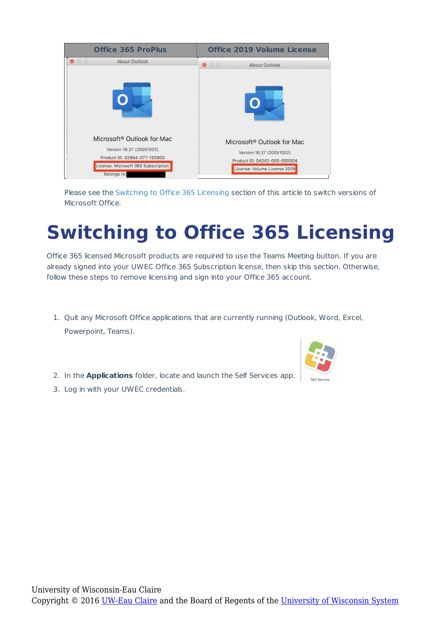| <b>Office 365 ProPlus</b>                                                                                                                                | <b>Office 2019 Volume License</b>                                                                                                  |
|----------------------------------------------------------------------------------------------------------------------------------------------------------|------------------------------------------------------------------------------------------------------------------------------------|
| 00<br>About Outlook                                                                                                                                      | $\bullet$ $\circ$ $\circ$<br>About Outlook                                                                                         |
| Microsoft <sup>®</sup> Outlook for Mac<br>Version 16.37 (20051002)<br>Product ID: 02954-077-132903<br>License: Microsoft 365 Subscription<br>Belongs to: | Microsoft <sup>®</sup> Outlook for Mac<br>Version 16.37 (20051002)<br>Product ID: 04242-000-000004<br>License: Volume License 2019 |

Please see the Switching to Office 365 Licensing section of this article to switch versions of Microsoft Office.

## **Switching to Office 365 Licensing**

Office 365 licensed Microsoft products are required to use the Teams Meeting button. If you are already signed into your UWEC Office 365 Subscription license, then skip this section. Otherwise, follow these steps to remove licensing and sign into your Office 365 account.

- 1. Quit any Microsoft Office applications that are currently running (Outlook, Word, Excel, Powerpoint, Teams).
- 2. In the **Applications** folder, locate and launch the Self Services app.
- 3. Log in with your UWEC credentials.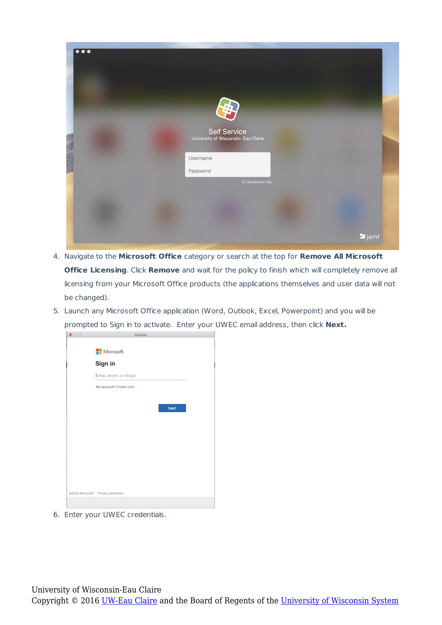

- 4. Navigate to the **Microsoft Office** category or search at the top for **Remove All Microsoft Office Licensing**. Click **Remove** and wait for the policy to finish which will completely remove all licensing from your Microsoft Office products (the applications themselves and user data will not be changed).
- 5. Launch any Microsoft Office application (Word, Outlook, Excel, Powerpoint) and you will be prompted to Sign in to activate. Enter your UWEC email address, then click **Next.**

| Outlook                           |  |
|-----------------------------------|--|
| Microsoft                         |  |
| Sign in                           |  |
| Email, phone, or Skype            |  |
| No account? Create one!           |  |
|                                   |  |
| Next                              |  |
|                                   |  |
|                                   |  |
|                                   |  |
|                                   |  |
|                                   |  |
|                                   |  |
| @2020 Microsoft Privacy statement |  |
|                                   |  |

6. Enter your UWEC credentials.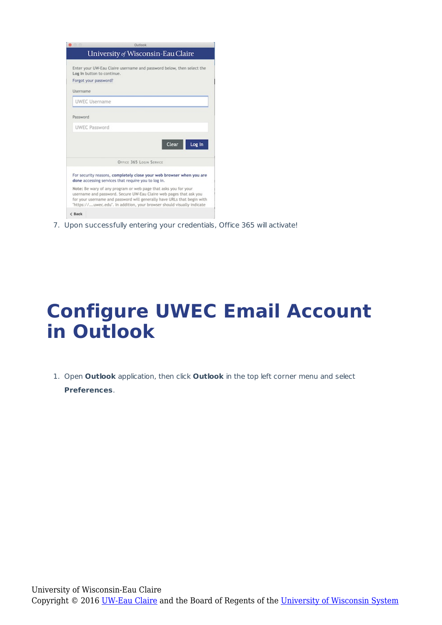| Forgot your password? | Enter your UW-Eau Claire username and password below, then select the<br>Log In button to continue.                         |
|-----------------------|-----------------------------------------------------------------------------------------------------------------------------|
| Username              |                                                                                                                             |
| <b>UWEC Username</b>  |                                                                                                                             |
| Password              |                                                                                                                             |
| <b>UWEC Password</b>  |                                                                                                                             |
|                       |                                                                                                                             |
|                       | Log In<br>Clear                                                                                                             |
|                       | OFFICE 365 LOGIN SERVICE                                                                                                    |
|                       | For security reasons, completely close your web browser when you are<br>done accessing services that require you to log in. |

7. Upon successfully entering your credentials, Office 365 will activate!

#### **Configure UWEC Email Account in Outlook**

1. Open **Outlook** application, then click **Outlook** in the top left corner menu and select **Preferences**.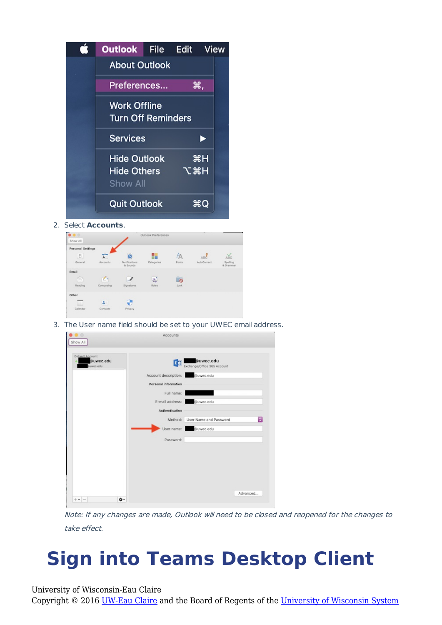

2. Select **Accounts**.



3. The User name field should be set to your UWEC email address.

| Default Account<br>@uwec.edu | 国图                             | @uwec.edu                   |                    |
|------------------------------|--------------------------------|-----------------------------|--------------------|
| Buwec.edu                    |                                | Exchange/Office 365 Account |                    |
|                              | Account description: @uwec.edu |                             |                    |
|                              | Personal information           |                             |                    |
|                              | Full name:                     |                             |                    |
|                              | E-mail address:                | @uwec.edu                   |                    |
|                              | Authentication                 |                             |                    |
|                              | Method:                        | User Name and Password      | $ \boldsymbol{z} $ |
|                              | User name:                     | @uwec.edu                   |                    |
|                              | Password:                      |                             |                    |
|                              |                                |                             |                    |
|                              |                                |                             |                    |
|                              |                                |                             |                    |
|                              |                                |                             |                    |
|                              |                                |                             |                    |

Note: If any changes are made, Outlook will need to be closed and reopened for the changes to take effect.

### **Sign into Teams Desktop Client**

University of Wisconsin-Eau Claire

Copyright © 2016 [UW-Eau Claire](http://www.uwec.edu) and the Board of Regents of the [University of Wisconsin System](http://www.uwsa.edu/)